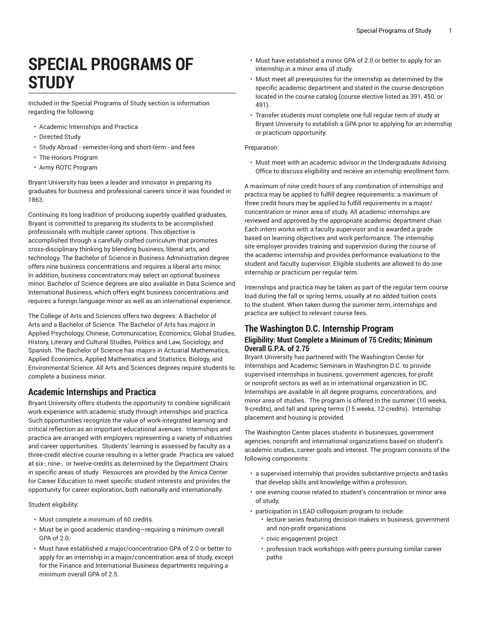# **SPECIAL PROGRAMS OF STUDY**

Included in the Special Programs of Study section is information regarding the following:

- Academic Internships and Practica
- Directed Study
- Study Abroad semester-long and short-term and fees
- The Honors Program
- Army ROTC Program

Bryant University has been a leader and innovator in preparing its graduates for business and professional careers since it was founded in 1863.

Continuing its long tradition of producing superbly qualified graduates, Bryant is committed to preparing its students to be accomplished professionals with multiple career options. This objective is accomplished through a carefully crafted curriculum that promotes cross-disciplinary thinking by blending business, liberal arts, and technology. The Bachelor of Science in Business Administration degree offers nine business concentrations and requires a liberal arts minor. In addition, business concentrators may select an optional business minor. Bachelor of Science degrees are also available in Data Science and International Business, which offers eight business concentrations and requires a foreign language minor as well as an international experience.

The College of Arts and Sciences offers two degrees: A Bachelor of Arts and a Bachelor of Science. The Bachelor of Arts has majors in Applied Psychology, Chinese, Communication, Economics, Global Studies, History, Literary and Cultural Studies, Politics and Law, Sociology, and Spanish. The Bachelor of Science has majors in Actuarial Mathematics, Applied Economics, Applied Mathematics and Statistics, Biology, and Environmental Science. All Arts and Sciences degrees require students to complete a business minor.

## **Academic Internships and Practica**

Bryant University offers students the opportunity to combine significant work experience with academic study through internships and practica. Such opportunities recognize the value of work-integrated learning and critical reflection as an important educational avenues. Internships and practica are arranged with employers representing a variety of industries and career opportunities. Students' learning is assessed by faculty as a three-credit elective course resulting in a letter grade. Practica are valued at six-, nine-, or twelve-credits as determined by the Department Chairs in specific areas of study. Resources are provided by the Amica Center for Career Education to meet specific student interests and provides the opportunity for career exploration, both nationally and internationally.

Student eligibility:

- Must complete a minimum of 60 credits.
- Must be in good academic standing—requiring a minimum overall GPA of 2.0.
- Must have established a major/concentration GPA of 2.0 or better to apply for an internship in a major/concentration area of study, except for the Finance and International Business departments requiring a minimum overall GPA of 2.5.
- Must have established a minor GPA of 2.0 or better to apply for an internship in a minor area of study.
- Must meet all prerequisites for the internship as determined by the specific academic department and stated in the course description located in the course catalog (course elective listed as 391, 450, or 491).
- Transfer students must complete one full regular term of study at Bryant University to establish a GPA prior to applying for an internship or practicum opportunity.

#### Preparation:

• Must meet with an academic advisor in the Undergraduate Advising Office to discuss eligibility and receive an internship enrollment form.

A maximum of nine credit hours of any combination of internships and practica may be applied to fulfill degree requirements; a maximum of three credit hours may be applied to fulfill requirements in a major/ concentration or minor area of study. All academic internships are reviewed and approved by the appropriate academic department chair. Each intern works with a faculty supervisor and is awarded a grade based on learning objectives and work performance. The internship site employer provides training and supervision during the course of the academic internship and provides performance evaluations to the student and faculty supervisor. Eligible students are allowed to do one internship or practicum per regular term.

Internships and practica may be taken as part of the regular term course load during the fall or spring terms, usually at no added tuition costs to the student. When taken during the summer term, internships and practica are subject to relevant course fees.

### **The Washington D.C. Internship Program Eligibility: Must Complete a Minimum of 75 Credits; Minimum Overall G.P.A. of 2.75**

Bryant University has partnered with The Washington Center for Internships and Academic Seminars in Washington D.C. to provide supervised internships in business, government agencies, for-profit or nonprofit sectors as well as in international organization in DC. Internships are available in all degree programs, concentrations, and minor area of studies. The program is offered in the summer (10 weeks, 9-credits), and fall and spring terms (15 weeks, 12-credits). Internship placement and housing is provided.

The Washington Center places students in businesses, government agencies, nonprofit and international organizations based on student's academic studies, career goals and interest. The program consists of the following components:

- a supervised internship that provides substantive projects and tasks that develop skills and knowledge within a profession,
- one evening course related to student's concentration or minor area of study,
- participation in LEAD colloquium program to include:
	- lecture series featuring decision makers in business, government and non-profit organizations
	- civic engagement project
	- profession track workshops with peers pursuing similar career paths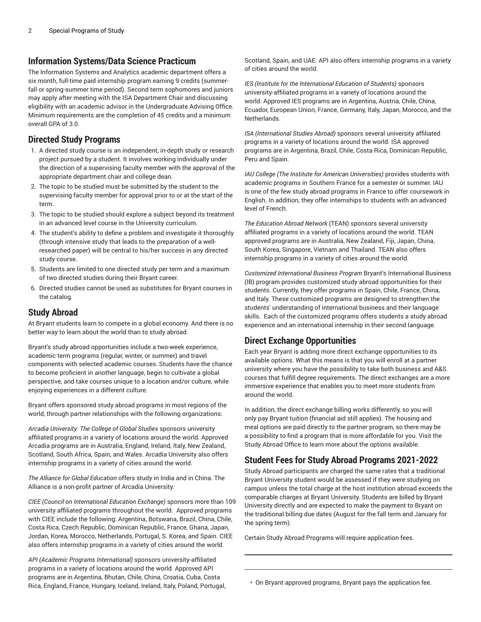## **Information Systems/Data Science Practicum**

The Information Systems and Analytics academic department offers a six month, full-time paid internship program earning 9 credits (summerfall or spring-summer time period). Second term sophomores and juniors may apply after meeting with the ISA Department Chair and discussing eligibility with an academic advisor in the Undergraduate Advising Office. Minimum requirements are the completion of 45 credits and a minimum overall GPA of 3.0.

## **Directed Study Programs**

- 1. A directed study course is an independent, in-depth study or research project pursued by a student. It involves working individually under the direction of a supervising faculty member with the approval of the appropriate department chair and college dean.
- 2. The topic to be studied must be submitted by the student to the supervising faculty member for approval prior to or at the start of the term.
- 3. The topic to be studied should explore a subject beyond its treatment in an advanced level course in the University curriculum.
- 4. The student's ability to define a problem and investigate it thoroughly (through intensive study that leads to the preparation of a wellresearched paper) will be central to his/her success in any directed study course.
- 5. Students are limited to one directed study per term and a maximum of two directed studies during their Bryant career.
- 6. Directed studies cannot be used as substitutes for Bryant courses in the catalog.

## **Study Abroad**

At Bryant students learn to compete in a global economy. And there is no better way to learn about the world than to study abroad.

Bryant's study abroad opportunities include a two-week experience, academic term programs (regular, winter, or summer) and travel components with selected academic courses. Students have the chance to become proficient in another language, begin to cultivate a global perspective, and take courses unique to a location and/or culture, while enjoying experiences in a different culture.

Bryant offers sponsored study abroad programs in most regions of the world, through partner relationships with the following organizations:

*Arcadia University: The College of Global Studies* sponsors university affiliated programs in a variety of locations around the world. Approved Arcadia programs are in Australia, England, Ireland, Italy, New Zealand, Scotland, South Africa, Spain, and Wales. Arcadia University also offers internship programs in a variety of cities around the world.

*The Alliance for Global Education* offers study in India and in China. The Alliance is a non-profit partner of Arcadia University.

*CIEE (Council on International Education Exchange)* sponsors more than 109 university affiliated programs throughout the world. Approved programs with CIEE include the following: Argentina, Botswana, Brazil, China, Chile, Costa Rica, Czech Republic, Dominican Republic, France, Ghana, Japan, Jordan, Korea, Morocco, Netherlands, Portugal, S. Korea, and Spain. CIEE also offers internship programs in a variety of cities around the world.

*API (Academic Programs International)* sponsors university-affiliated programs in a variety of locations around the world. Approved API programs are in Argentina, Bhutan, Chile, China, Croatia, Cuba, Costa Rica, England, France, Hungary, Iceland, Ireland, Italy, Poland, Portugal,

Scotland, Spain, and UAE. API also offers internship programs in a variety of cities around the world.

*IES (Institute for the International Education of Students)* sponsors university-affiliated programs in a variety of locations around the world. Approved IES programs are in Argentina, Austria, Chile, China, Ecuador, European Union, France, Germany, Italy, Japan, Morocco, and the Netherlands.

*ISA (International Studies Abroad)* sponsors several university affiliated programs in a variety of locations around the world. ISA approved programs are in Argentina, Brazil, Chile, Costa Rica, Dominican Republic, Peru and Spain.

*IAU College (The Institute for American Universities)* provides students with academic programs in Southern France for a semester or summer. IAU is one of the few study abroad programs in France to offer coursework in English. In addition, they offer internships to students with an advanced level of French.

*The Education Abroad Network* (TEAN) sponsors several university affiliated programs in a variety of locations around the world. TEAN approved programs are in Australia, New Zealand, Fiji, Japan, China, South Korea, Singapore, Vietnam and Thailand. TEAN also offers internship programs in a variety of cities around the world.

*Customized International Business Program* Bryant's International Business (IB) program provides customized study abroad opportunities for their students. Currently, they offer programs in Spain, Chile, France, China, and Italy. These customized programs are designed to strengthen the students' understanding of international business and their language skills. Each of the customized programs offers students a study abroad experience and an international internship in their second language.

# **Direct Exchange Opportunities**

Each year Bryant is adding more direct exchange opportunities to its available options. What this means is that you will enroll at a partner university where you have the possibility to take both business and A&S courses that fulfill degree requirements. The direct exchanges are a more immersive experience that enables you to meet more students from around the world.

In addition, the direct exchange billing works differently, so you will only pay Bryant tuition (financial aid still applies). The housing and meal options are paid directly to the partner program, so there may be a possibility to find a program that is more affordable for you. Visit the Study Abroad Office to learn more about the options available.

# **Student Fees for Study Abroad Programs 2021-2022**

Study Abroad participants are charged the same rates that a traditional Bryant University student would be assessed if they were studying on campus unless the total charge at the host institution abroad exceeds the comparable charges at Bryant University. Students are billed by Bryant University directly and are expected to make the payment to Bryant on the traditional billing due dates (August for the fall term and January for the spring term).

Certain Study Abroad Programs will require application fees.

• On Bryant approved programs, Bryant pays the application fee.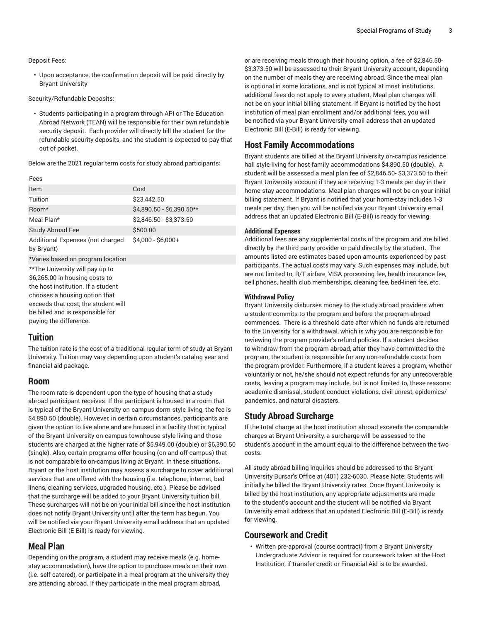#### Deposit Fees:

• Upon acceptance, the confirmation deposit will be paid directly by Bryant University

#### Security/Refundable Deposits:

• Students participating in a program through API or The Education Abroad Network (TEAN) will be responsible for their own refundable security deposit. Each provider will directly bill the student for the refundable security deposits, and the student is expected to pay that out of pocket.

Below are the 2021 regular term costs for study abroad participants:

#### Fees

| Item                                                              | Cost                      |
|-------------------------------------------------------------------|---------------------------|
| Tuition                                                           | \$23,442.50               |
| Room*                                                             | \$4,890.50 - \$6,390.50** |
| Meal Plan*                                                        | \$2,846.50 - \$3,373.50   |
| <b>Study Abroad Fee</b>                                           | \$500.00                  |
| Additional Expenses (not charged<br>by Bryant)                    | $$4.000 - $6.000+$        |
| *Varies based on program location                                 |                           |
| **The University will pay up to<br>\$6,265.00 in housing costs to |                           |

the host institution. If a student chooses a housing option that exceeds that cost, the student will be billed and is responsible for paying the difference.

## **Tuition**

The tuition rate is the cost of a traditional regular term of study at Bryant University. Tuition may vary depending upon student's catalog year and financial aid package.

#### **Room**

The room rate is dependent upon the type of housing that a study abroad participant receives. If the participant is housed in a room that is typical of the Bryant University on-campus dorm-style living, the fee is \$4,890.50 (double). However, in certain circumstances, participants are given the option to live alone and are housed in a facility that is typical of the Bryant University on-campus townhouse-style living and those students are charged at the higher rate of \$5,949.00 (double) or \$6,390.50 **(**single). Also, certain programs offer housing (on and off campus) that is not comparable to on-campus living at Bryant. In these situations, Bryant or the host institution may assess a surcharge to cover additional services that are offered with the housing (i.e. telephone, internet, bed linens, cleaning services, upgraded housing, etc.). Please be advised that the surcharge will be added to your Bryant University tuition bill. These surcharges will not be on your initial bill since the host institution does not notify Bryant University until after the term has begun. You will be notified via your Bryant University email address that an updated Electronic Bill (E-Bill) is ready for viewing.

#### **Meal Plan**

Depending on the program, a student may receive meals (e.g. homestay accommodation), have the option to purchase meals on their own (i.e. self-catered), or participate in a meal program at the university they are attending abroad. If they participate in the meal program abroad,

or are receiving meals through their housing option, a fee of \$2,846.50- \$3,373.50 will be assessed to their Bryant University account, depending on the number of meals they are receiving abroad. Since the meal plan is optional in some locations, and is not typical at most institutions, additional fees do not apply to every student. Meal plan charges will not be on your initial billing statement. If Bryant is notified by the host institution of meal plan enrollment and/or additional fees, you will be notified via your Bryant University email address that an updated Electronic Bill (E-Bill) is ready for viewing.

## **Host Family Accommodations**

Bryant students are billed at the Bryant University on-campus residence hall style-living for host family accommodations \$4,890.50 (double). A student will be assessed a meal plan fee of \$2,846.50- \$3,373.50 to their Bryant University account if they are receiving 1-3 meals per day in their home-stay accommodations. Meal plan charges will not be on your initial billing statement. If Bryant is notified that your home-stay includes 1-3 meals per day, then you will be notified via your Bryant University email address that an updated Electronic Bill (E-Bill) is ready for viewing.

#### **Additional Expenses**

Additional fees are any supplemental costs of the program and are billed directly by the third party provider or paid directly by the student. The amounts listed are estimates based upon amounts experienced by past participants. The actual costs may vary. Such expenses may include, but are not limited to, R/T airfare, VISA processing fee, health insurance fee, cell phones, health club memberships, cleaning fee, bed-linen fee, etc.

#### **Withdrawal Policy**

Bryant University disburses money to the study abroad providers when a student commits to the program and before the program abroad commences. There is a threshold date after which no funds are returned to the University for a withdrawal, which is why you are responsible for reviewing the program provider's refund policies. If a student decides to withdraw from the program abroad, after they have committed to the program, the student is responsible for any non-refundable costs from the program provider. Furthermore, if a student leaves a program, whether voluntarily or not, he/she should not expect refunds for any unrecoverable costs; leaving a program may include, but is not limited to, these reasons: academic dismissal, student conduct violations, civil unrest, epidemics/ pandemics, and natural disasters.

#### **Study Abroad Surcharge**

If the total charge at the host institution abroad exceeds the comparable charges at Bryant University, a surcharge will be assessed to the student's account in the amount equal to the difference between the two costs.

All study abroad billing inquiries should be addressed to the Bryant University Bursar's Office at (401) 232-6030. Please Note: Students will initially be billed the Bryant University rates. Once Bryant University is billed by the host institution, any appropriate adjustments are made to the student's account and the student will be notified via Bryant University email address that an updated Electronic Bill (E-Bill) is ready for viewing.

## **Coursework and Credit**

• Written pre-approval (course contract) from a Bryant University Undergraduate Advisor is required for coursework taken at the Host Institution, if transfer credit or Financial Aid is to be awarded.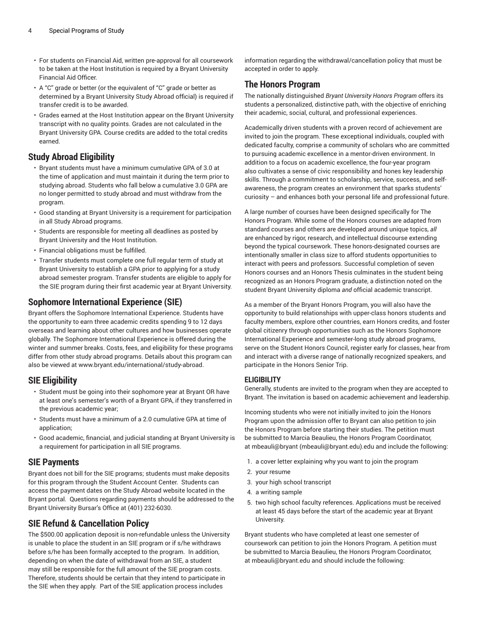- For students on Financial Aid, written pre-approval for all coursework to be taken at the Host Institution is required by a Bryant University Financial Aid Officer.
- A "C" grade or better (or the equivalent of "C" grade or better as determined by a Bryant University Study Abroad official) is required if transfer credit is to be awarded.
- Grades earned at the Host Institution appear on the Bryant University transcript with no quality points. Grades are not calculated in the Bryant University GPA. Course credits are added to the total credits earned.

# **Study Abroad Eligibility**

- Bryant students must have a minimum cumulative GPA of 3.0 at the time of application and must maintain it during the term prior to studying abroad. Students who fall below a cumulative 3.0 GPA are no longer permitted to study abroad and must withdraw from the program.
- Good standing at Bryant University is a requirement for participation in all Study Abroad programs.
- Students are responsible for meeting all deadlines as posted by Bryant University and the Host Institution.
- Financial obligations must be fulfilled.
- Transfer students must complete one full regular term of study at Bryant University to establish a GPA prior to applying for a study abroad semester program. Transfer students are eligible to apply for the SIE program during their first academic year at Bryant University.

# **Sophomore International Experience (SIE)**

Bryant offers the Sophomore International Experience. Students have the opportunity to earn three academic credits spending 9 to 12 days overseas and learning about other cultures and how businesses operate globally. The Sophomore International Experience is offered during the winter and summer breaks. Costs, fees, and eligibility for these programs differ from other study abroad programs. Details about this program can also be viewed at [www.bryant.edu/international/study-abroad.](https://www.bryant.edu/international/study-abroad/)

# **SIE Eligibility**

- Student must be going into their sophomore year at Bryant OR have at least one's semester's worth of a Bryant GPA, if they transferred in the previous academic year;
- Students must have a minimum of a 2.0 cumulative GPA at time of application;
- Good academic, financial, and judicial standing at Bryant University is a requirement for participation in all SIE programs.

# **SIE Payments**

Bryant does not bill for the SIE programs; students must make deposits for this program through the Student Account Center. Students can access the payment dates on the Study Abroad website located in the Bryant portal. Questions regarding payments should be addressed to the Bryant University Bursar's Office at (401) 232-6030.

# **SIE Refund & Cancellation Policy**

The \$500.00 application deposit is non-refundable unless the University is unable to place the student in an SIE program or if s/he withdraws before s/he has been formally accepted to the program. In addition, depending on when the date of withdrawal from an SIE, a student may still be responsible for the full amount of the SIE program costs. Therefore, students should be certain that they intend to participate in the SIE when they apply. Part of the SIE application process includes

information regarding the withdrawal/cancellation policy that must be accepted in order to apply.

# **The Honors Program**

The nationally distinguished *Bryant University Honors Program* offers its students a personalized, distinctive path, with the objective of enriching their academic, social, cultural, and professional experiences.

Academically driven students with a proven record of achievement are invited to join the program. These exceptional individuals, coupled with dedicated faculty, comprise a community of scholars who are committed to pursuing academic excellence in a mentor-driven environment. In addition to a focus on academic excellence, the four-year program also cultivates a sense of civic responsibility and hones key leadership skills. Through a commitment to scholarship, service, success, and selfawareness, the program creates an environment that sparks students' curiosity – and enhances both your personal life and professional future.

A large number of courses have been designed specifically for The Honors Program. While some of the Honors courses are adapted from standard courses and others are developed around unique topics, *all* are enhanced by rigor, research, and intellectual discourse extending beyond the typical coursework. These honors-designated courses are intentionally smaller in class size to afford students opportunities to interact with peers and professors. Successful completion of seven Honors courses and an Honors Thesis culminates in the student being recognized as an Honors Program graduate, a distinction noted on the student Bryant University diploma *and* official academic transcript.

As a member of the Bryant Honors Program, you will also have the opportunity to build relationships with upper-class honors students and faculty members, explore other countries, earn Honors credits, and foster global citizenry through opportunities such as the Honors Sophomore International Experience and semester-long study abroad programs, serve on the Student Honors Council, register early for classes, hear from and interact with a diverse range of nationally recognized speakers, and participate in the Honors Senior Trip.

## **ELIGIBILITY**

Generally, students are invited to the program when they are accepted to Bryant. The invitation is based on academic achievement and leadership.

Incoming students who were not initially invited to join the Honors Program upon the admission offer to Bryant can also petition to join the Honors Program before starting their studies. The petition must be submitted to Marcia Beaulieu, the Honors Program Coordinator, at [mbeauli@bryant](mailto:mbeauli@bryant.edu) [\(mbeauli@bryant.edu](mbeauli@bryant.edu)).edu and include the following:

- 1. a cover letter explaining why you want to join the program
- 2. your resume
- 3. your high school transcript
- 4. a writing sample
- 5. two high school faculty references. Applications must be received at least 45 days before the start of the academic year at Bryant University.

Bryant students who have completed at least one semester of coursework can petition to join the Honors Program. A petition must be submitted to Marcia Beaulieu, the Honors Program Coordinator, at [mbeauli@bryant.edu](mailto:mbeauli@bryant.edu) and should include the following: